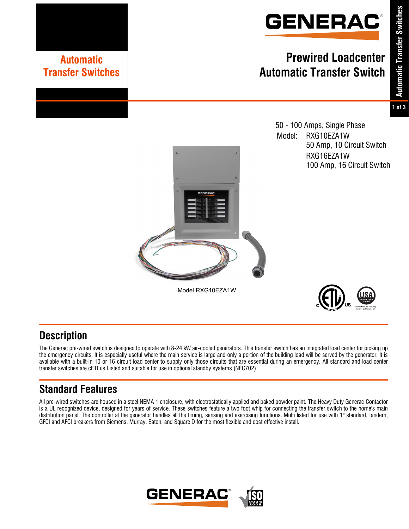

# **Prewired Loadcenter Automatic Transfer Switch**

## **1 of 3**

50 - 100 Amps, Single Phase Model: RXG10EZA1W 50 Amp, 10 Circuit Switch RXG16EZA1W 100 Amp, 16 Circuit Switch





## **Description**

The Generac pre-wired switch is designed to operate with 8-24 kW air-cooled generators. This transfer switch has an integrated load center for picking up the emergency circuits. It is especially useful where the main service is large and only a portion of the building load will be served by the generator. It is available with a built-in 10 or 16 circuit load center to supply only those circuits that are essential during an emergency. All standard and load center transfer switches are cETLus Listed and suitable for use in optional standby systems (NEC702).

Model RXG10EZA1W

# **Standard Features**

**Automatic Transfer Switches**

All pre-wired switches are housed in a steel NEMA 1 enclosure, with electrostatically applied and baked powder paint. The Heavy Duty Generac Contactor is a UL recognized device, designed for years of service. These switches feature a two foot whip for connecting the transfer switch to the home's main distribution panel. The controller at the generator handles all the timing, sensing and exercising functions. Multi listed for use with 1" standard, tandem, GFCI and AFCI breakers from Siemens, Murray, Eaton, and Square D for the most flexible and cost effective install.

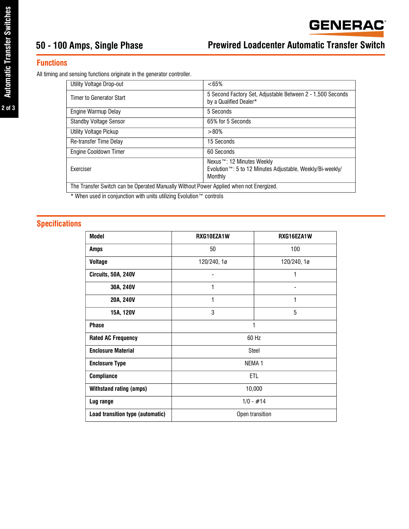#### **Functions**

All timing and sensing functions originate in the generator controller.

| Utility Voltage Drop-out                                                               | $< 65\%$                                                                                                       |
|----------------------------------------------------------------------------------------|----------------------------------------------------------------------------------------------------------------|
| Timer to Generator Start                                                               | 5 Second Factory Set, Adjustable Between 2 - 1,500 Seconds<br>by a Qualified Dealer*                           |
| Engine Warmup Delay                                                                    | 5 Seconds                                                                                                      |
| <b>Standby Voltage Sensor</b>                                                          | 65% for 5 Seconds                                                                                              |
| Utility Voltage Pickup                                                                 | >80%                                                                                                           |
| Re-transfer Time Delay                                                                 | 15 Seconds                                                                                                     |
| Engine Cooldown Timer                                                                  | 60 Seconds                                                                                                     |
| <b>Exerciser</b>                                                                       | Nexus™: 12 Minutes Weekly<br>Evolution <sup>™</sup> : 5 to 12 Minutes Adjustable, Weekly/Bi-weekly/<br>Monthly |
| The Transfer Switch can be Operated Manually Without Power Applied when not Energized. |                                                                                                                |

\* When used in conjunction with units utilizing Evolution™ controls

### **Specifications**

| <b>Model</b>                     | RXG10EZA1W        | RXG16EZA1W               |  |  |
|----------------------------------|-------------------|--------------------------|--|--|
| <b>Amps</b>                      | 50                | 100                      |  |  |
| <b>Voltage</b>                   | 120/240, 1ø       | 120/240, 1ø              |  |  |
| Circuits, 50A, 240V              |                   | 1                        |  |  |
| 30A, 240V                        | 1                 | $\overline{\phantom{a}}$ |  |  |
| 20A, 240V                        | 1                 | 1                        |  |  |
| 15A, 120V                        | 3                 | 5                        |  |  |
| <b>Phase</b>                     | 1                 |                          |  |  |
| <b>Rated AC Frequency</b>        | 60 Hz             |                          |  |  |
| <b>Enclosure Material</b>        | Steel             |                          |  |  |
| <b>Enclosure Type</b>            | NEMA <sub>1</sub> |                          |  |  |
| <b>Compliance</b>                | ETL               |                          |  |  |
| <b>Withstand rating (amps)</b>   | 10,000            |                          |  |  |
| Lug range                        | $1/0 - #14$       |                          |  |  |
| Load transition type (automatic) | Open transition   |                          |  |  |

**2 of 3**